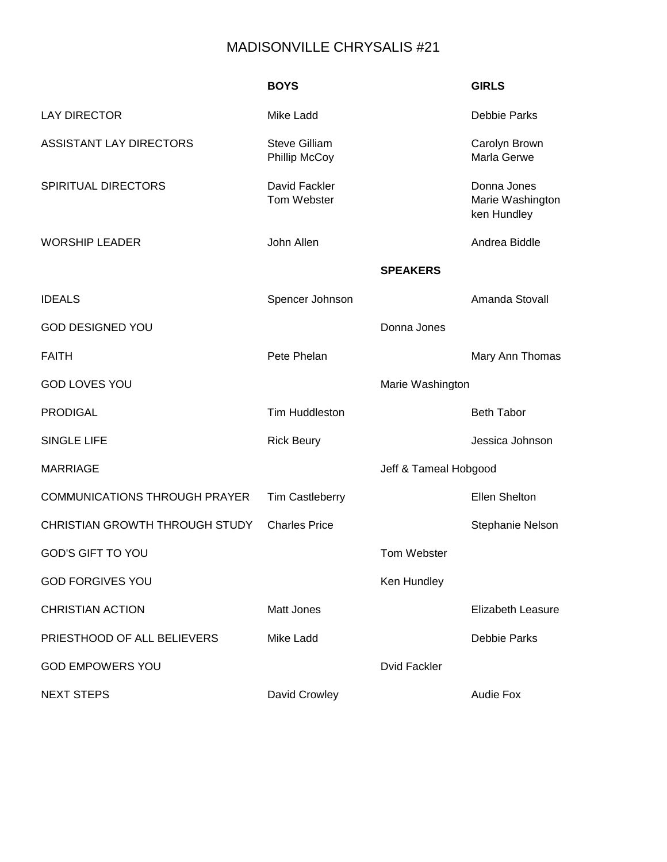# MADISONVILLE CHRYSALIS #21

|                                      | <b>BOYS</b>                                  |                       | <b>GIRLS</b>                                   |
|--------------------------------------|----------------------------------------------|-----------------------|------------------------------------------------|
| <b>LAY DIRECTOR</b>                  | Mike Ladd                                    |                       | <b>Debbie Parks</b>                            |
| <b>ASSISTANT LAY DIRECTORS</b>       | <b>Steve Gilliam</b><br><b>Phillip McCoy</b> |                       | Carolyn Brown<br>Marla Gerwe                   |
| SPIRITUAL DIRECTORS                  | David Fackler<br>Tom Webster                 |                       | Donna Jones<br>Marie Washington<br>ken Hundley |
| <b>WORSHIP LEADER</b>                | John Allen                                   |                       | Andrea Biddle                                  |
|                                      |                                              | <b>SPEAKERS</b>       |                                                |
| <b>IDEALS</b>                        | Spencer Johnson                              |                       | Amanda Stovall                                 |
| <b>GOD DESIGNED YOU</b>              |                                              | Donna Jones           |                                                |
| <b>FAITH</b>                         | Pete Phelan                                  |                       | Mary Ann Thomas                                |
| <b>GOD LOVES YOU</b>                 |                                              | Marie Washington      |                                                |
| <b>PRODIGAL</b>                      | <b>Tim Huddleston</b>                        |                       | <b>Beth Tabor</b>                              |
| <b>SINGLE LIFE</b>                   | <b>Rick Beury</b>                            |                       | Jessica Johnson                                |
| <b>MARRIAGE</b>                      |                                              | Jeff & Tameal Hobgood |                                                |
| <b>COMMUNICATIONS THROUGH PRAYER</b> | <b>Tim Castleberry</b>                       |                       | <b>Ellen Shelton</b>                           |
| CHRISTIAN GROWTH THROUGH STUDY       | <b>Charles Price</b>                         |                       | <b>Stephanie Nelson</b>                        |
| <b>GOD'S GIFT TO YOU</b>             |                                              | Tom Webster           |                                                |
| <b>GOD FORGIVES YOU</b>              |                                              | Ken Hundley           |                                                |
| <b>CHRISTIAN ACTION</b>              | <b>Matt Jones</b>                            |                       | <b>Elizabeth Leasure</b>                       |
| PRIESTHOOD OF ALL BELIEVERS          | <b>Mike Ladd</b>                             |                       | <b>Debbie Parks</b>                            |
| <b>GOD EMPOWERS YOU</b>              |                                              | <b>Dvid Fackler</b>   |                                                |
| <b>NEXT STEPS</b>                    | David Crowley                                |                       | <b>Audie Fox</b>                               |